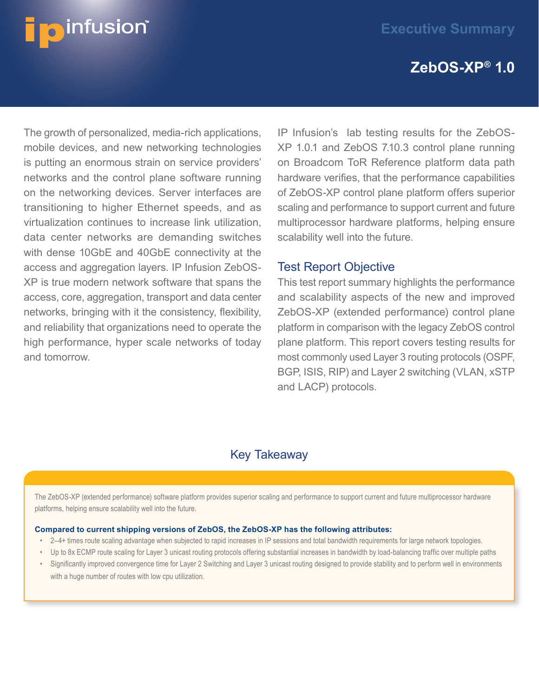# **ZebOS-XP® 1.0**

The growth of personalized, media-rich applications, mobile devices, and new networking technologies is putting an enormous strain on service providers' networks and the control plane software running on the networking devices. Server interfaces are transitioning to higher Ethernet speeds, and as virtualization continues to increase link utilization, data center networks are demanding switches with dense 10GbE and 40GbE connectivity at the access and aggregation layers. IP Infusion ZebOS-XP is true modern network software that spans the access, core, aggregation, transport and data center networks, bringing with it the consistency, flexibility, and reliability that organizations need to operate the high performance, hyper scale networks of today and tomorrow.

**D**infusion®

IP Infusion's lab testing results for the ZebOS-XP 1.0.1 and ZebOS 7.10.3 control plane running on Broadcom ToR Reference platform data path hardware verifies, that the performance capabilities of ZebOS-XP control plane platform offers superior scaling and performance to support current and future multiprocessor hardware platforms, helping ensure scalability well into the future.

#### Test Report Objective

This test report summary highlights the performance and scalability aspects of the new and improved ZebOS-XP (extended performance) control plane platform in comparison with the legacy ZebOS control plane platform. This report covers testing results for most commonly used Layer 3 routing protocols (OSPF, BGP, ISIS, RIP) and Layer 2 switching (VLAN, xSTP and LACP) protocols.

## Key Takeaway

The ZebOS-XP (extended performance) software platform provides superior scaling and performance to support current and future multiprocessor hardware platforms, helping ensure scalability well into the future.

#### **Compared to current shipping versions of ZebOS, the ZebOS-XP has the following attributes:**

- 2–4+ times route scaling advantage when subjected to rapid increases in IP sessions and total bandwidth requirements for large network topologies.
- Up to 8x ECMP route scaling for Layer 3 unicast routing protocols offering substantial increases in bandwidth by load-balancing traffic over multiple paths
- Significantly improved convergence time for Layer 2 Switching and Layer 3 unicast routing designed to provide stability and to perform well in environments with a huge number of routes with low cpu utilization.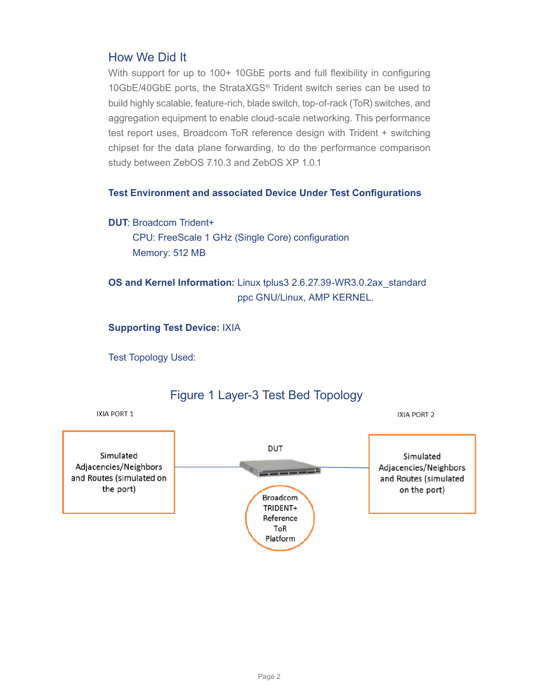### How We Did It

With support for up to 100+ 10GbE ports and full flexibility in configuring 10GbE/40GbE ports, the StrataXGS® Trident switch series can be used to build highly scalable, feature-rich, blade switch, top-of-rack (ToR) switches, and aggregation equipment to enable cloud-scale networking. This performance test report uses, Broadcom ToR reference design with Trident + switching chipset for the data plane forwarding, to do the performance comparison study between ZebOS 7.10.3 and ZebOS XP 1.0.1

#### **Test Environment and associated Device Under Test Configurations**

#### **DUT**: Broadcom Trident+

 CPU: FreeScale 1 GHz (Single Core) configuration Memory: 512 MB

**OS and Kernel Information:** Linux tplus3 2.6.27.39-WR3.0.2ax\_standard ppc GNU/Linux, AMP KERNEL.

**Supporting Test Device:** IXIA

Test Topology Used:



### Figure 1 Layer-3 Test Bed Topology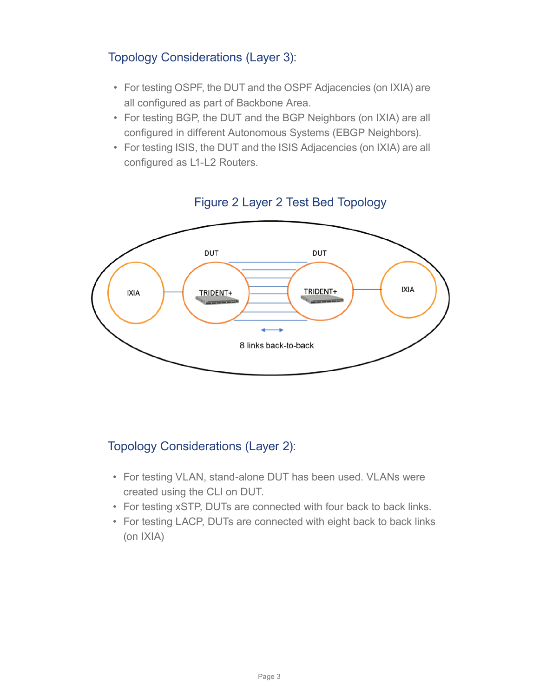## Topology Considerations (Layer 3):

- For testing OSPF, the DUT and the OSPF Adjacencies (on IXIA) are all configured as part of Backbone Area.
- For testing BGP, the DUT and the BGP Neighbors (on IXIA) are all configured in different Autonomous Systems (EBGP Neighbors).
- For testing ISIS, the DUT and the ISIS Adjacencies (on IXIA) are all configured as L1-L2 Routers.



## Figure 2 Layer 2 Test Bed Topology

## Topology Considerations (Layer 2):

- For testing VLAN, stand-alone DUT has been used. VLANs were created using the CLI on DUT.
- For testing xSTP, DUTs are connected with four back to back links.
- For testing LACP, DUTs are connected with eight back to back links (on IXIA)